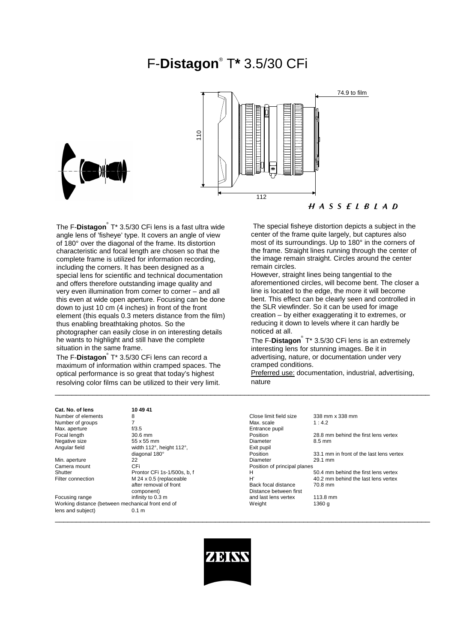# F-**Distagon**® T**\*** 3.5/30 CFi



The F-**Distagon**® T\* 3.5/30 CFi lens is a fast ultra wide angle lens of 'fisheye' type. It covers an angle of view of 180° over the diagonal of the frame. Its distortion characteristic and focal length are chosen so that the complete frame is utilized for information recording, including the corners. It has been designed as a special lens for scientific and technical documentation and offers therefore outstanding image quality and very even illumination from corner to corner – and all this even at wide open aperture. Focusing can be done down to just 10 cm (4 inches) in front of the front element (this equals 0.3 meters distance from the film) thus enabling breathtaking photos. So the photographer can easily close in on interesting details he wants to highlight and still have the complete situation in the same frame.

The F-**Distagon**® T\* 3.5/30 CFi lens can record a maximum of information within cramped spaces. The optical performance is so great that today's highest resolving color films can be utilized to their very limit.

 The special fisheye distortion depicts a subject in the center of the frame quite largely, but captures also most of its surroundings. Up to 180° in the corners of the frame. Straight lines running through the center of the image remain straight. Circles around the center

remain circles. However, straight lines being tangential to the aforementioned circles, will become bent. The closer a line is located to the edge, the more it will become bent. This effect can be clearly seen and controlled in the SLR viewfinder. So it can be used for image creation – by either exaggerating it to extremes, or reducing it down to levels where it can hardly be noticed at all.

The F-**Distagon**® T\* 3.5/30 CFi lens is an extremely interesting lens for stunning images. Be it in advertising, nature, or documentation under very cramped conditions.

Preferred use: documentation, industrial, advertising, nature

| Cat. No. of lens                                  | 10 49 41                    |                              |                                          |
|---------------------------------------------------|-----------------------------|------------------------------|------------------------------------------|
| Number of elements                                | 8                           | Close limit field size       | 338 mm x 338 mm                          |
| Number of groups                                  |                             | Max. scale                   | 1:4.2                                    |
| Max. aperture                                     | f/3.5                       | Entrance pupil               |                                          |
| Focal length                                      | 30.6 mm                     | Position                     | 28.8 mm behind the first lens vertex     |
| Negative size                                     | 55 x 55 mm                  | Diameter                     | 8.5 mm                                   |
| Angular field                                     | width 112°, height 112°,    | Exit pupil                   |                                          |
|                                                   | diagonal 180°               | Position                     | 33.1 mm in front of the last lens vertex |
| Min. aperture                                     | 22                          | Diameter                     | 29.1 mm                                  |
| Camera mount                                      | CFi                         | Position of principal planes |                                          |
| Shutter                                           | Prontor CFi 1s-1/500s, b, f | н                            | 50.4 mm behind the first lens vertex     |
| Filter connection                                 | M 24 x 0.5 (replaceable     | H'                           | 40.2 mm behind the last lens vertex      |
|                                                   | after removal of front      | Back focal distance          | 70.8 mm                                  |
|                                                   | component)                  | Distance between first       |                                          |
| Focusing range                                    | infinity to 0.3 m           | and last lens vertex         | 113.8 mm                                 |
| Working distance (between mechanical front end of |                             | Weight                       | 1360 g                                   |
| lens and subject)                                 | 0.1 <sub>m</sub>            |                              |                                          |

 $\_$  ,  $\_$  ,  $\_$  ,  $\_$  ,  $\_$  ,  $\_$  ,  $\_$  ,  $\_$  ,  $\_$  ,  $\_$  ,  $\_$  ,  $\_$  ,  $\_$  ,  $\_$  ,  $\_$  ,  $\_$  ,  $\_$  ,  $\_$  ,  $\_$  ,  $\_$  ,  $\_$  ,  $\_$  ,  $\_$  ,  $\_$  ,  $\_$  ,  $\_$  ,  $\_$  ,  $\_$  ,  $\_$  ,  $\_$  ,  $\_$  ,  $\_$  ,  $\_$  ,  $\_$  ,  $\_$  ,  $\_$  ,  $\_$  ,

\_\_\_\_\_\_\_\_\_\_\_\_\_\_\_\_\_\_\_\_\_\_\_\_\_\_\_\_\_\_\_\_\_\_\_\_\_\_\_\_\_\_\_\_\_\_\_\_\_\_\_\_\_\_\_\_\_\_\_\_\_\_\_\_\_\_\_\_\_\_\_\_\_\_\_\_\_\_\_\_\_\_\_\_\_\_\_\_\_